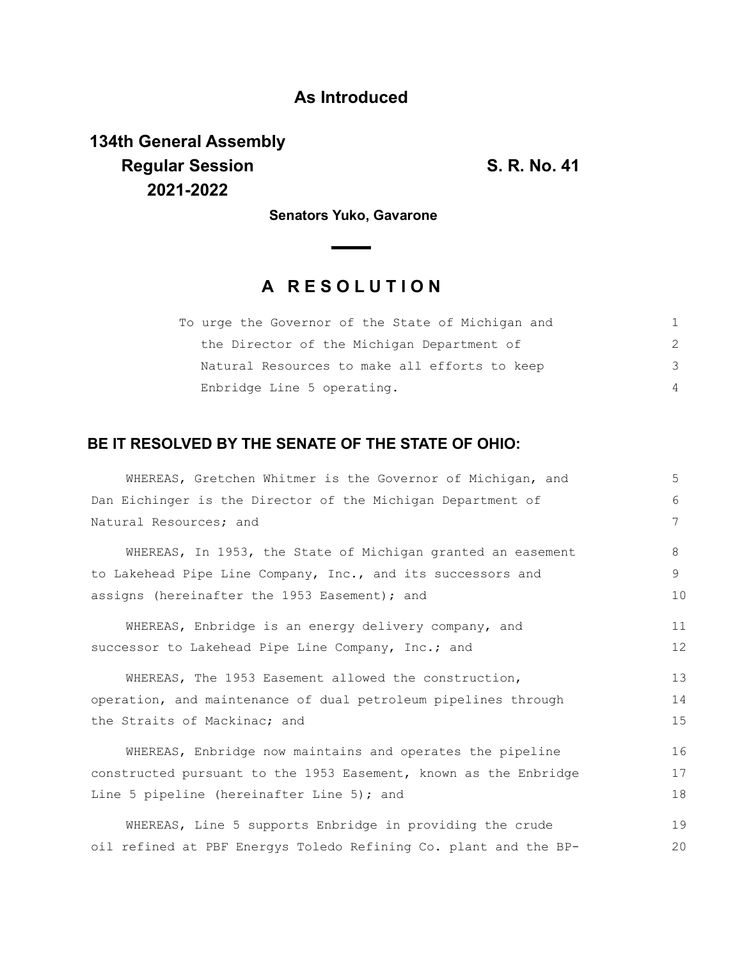## **As Introduced**

# **134th General Assembly Regular Session S. R. No. 41 2021-2022**

**Senators Yuko, Gavarone**

# **A R E S O L U T I O N**

| To urge the Governor of the State of Michigan and |               |
|---------------------------------------------------|---------------|
| the Director of the Michigan Department of        | $\mathcal{P}$ |
| Natural Resources to make all efforts to keep     | 3             |
| Enbridge Line 5 operating.                        | 4             |

## **BE IT RESOLVED BY THE SENATE OF THE STATE OF OHIO:**

| WHEREAS, Gretchen Whitmer is the Governor of Michigan, and       | 5  |
|------------------------------------------------------------------|----|
| Dan Eichinger is the Director of the Michigan Department of      | 6  |
| Natural Resources; and                                           | 7  |
| WHEREAS, In 1953, the State of Michigan granted an easement      | 8  |
| to Lakehead Pipe Line Company, Inc., and its successors and      | 9  |
| assigns (hereinafter the 1953 Easement); and                     | 10 |
| WHEREAS, Enbridge is an energy delivery company, and             | 11 |
| successor to Lakehead Pipe Line Company, Inc.; and               | 12 |
| WHEREAS, The 1953 Easement allowed the construction,             | 13 |
| operation, and maintenance of dual petroleum pipelines through   | 14 |
| the Straits of Mackinac; and                                     | 15 |
| WHEREAS, Enbridge now maintains and operates the pipeline        | 16 |
| constructed pursuant to the 1953 Easement, known as the Enbridge | 17 |
| Line 5 pipeline (hereinafter Line 5); and                        | 18 |
| WHEREAS, Line 5 supports Enbridge in providing the crude         | 19 |
| oil refined at PBF Energys Toledo Refining Co. plant and the BP- | 20 |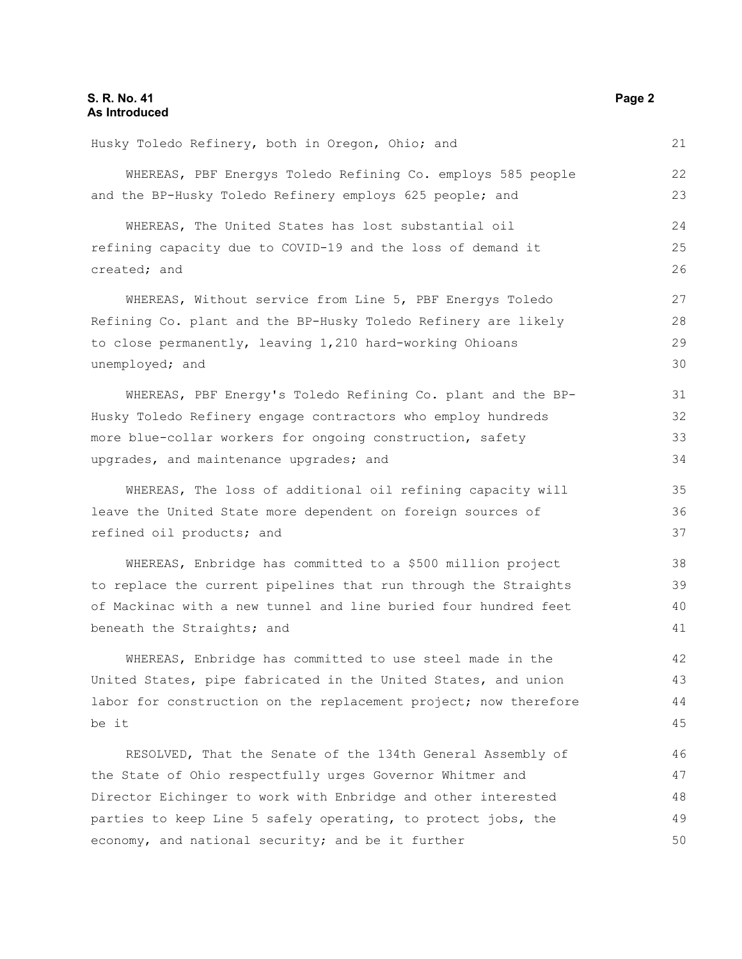#### **S. R. No. 41 Page 2 As Introduced**

Husky Toledo Refinery, both in Oregon, Ohio; and WHEREAS, PBF Energys Toledo Refining Co. employs 585 people and the BP-Husky Toledo Refinery employs 625 people; and WHEREAS, The United States has lost substantial oil refining capacity due to COVID-19 and the loss of demand it created; and WHEREAS, Without service from Line 5, PBF Energys Toledo Refining Co. plant and the BP-Husky Toledo Refinery are likely to close permanently, leaving 1,210 hard-working Ohioans unemployed; and WHEREAS, PBF Energy's Toledo Refining Co. plant and the BP-Husky Toledo Refinery engage contractors who employ hundreds more blue-collar workers for ongoing construction, safety upgrades, and maintenance upgrades; and WHEREAS, The loss of additional oil refining capacity will leave the United State more dependent on foreign sources of refined oil products; and WHEREAS, Enbridge has committed to a \$500 million project to replace the current pipelines that run through the Straights of Mackinac with a new tunnel and line buried four hundred feet beneath the Straights; and WHEREAS, Enbridge has committed to use steel made in the United States, pipe fabricated in the United States, and union labor for construction on the replacement project; now therefore be it RESOLVED, That the Senate of the 134th General Assembly of the State of Ohio respectfully urges Governor Whitmer and Director Eichinger to work with Enbridge and other interested parties to keep Line 5 safely operating, to protect jobs, the economy, and national security; and be it further 21 22 23 24 25 26 27 28 29 30 31 32 33 34 35 36 37 38 39 40 41 42 43 44 45 46 47 48 49 50